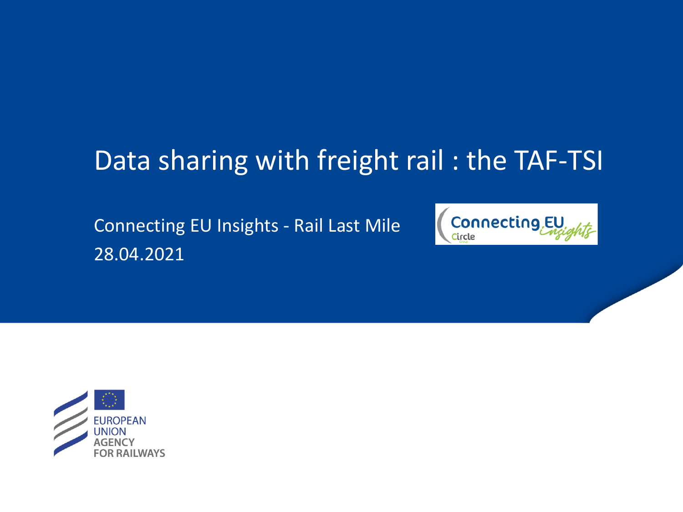# Data sharing with freight rail : the TAF-TSI

Connecting EU Insights - Rail Last Mile 28.04.2021



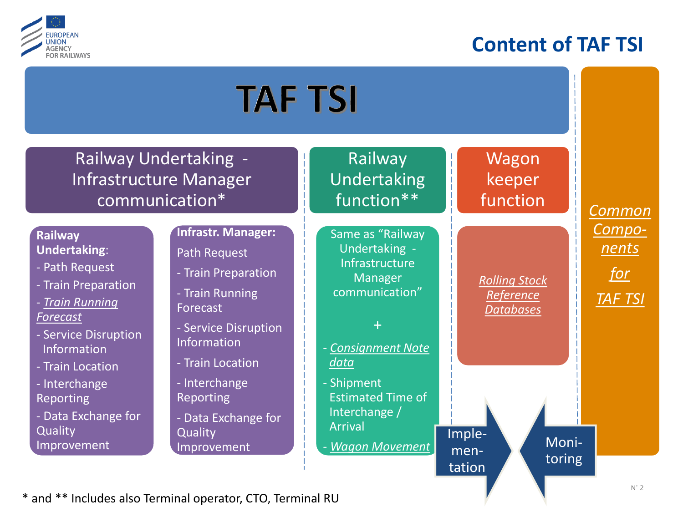

## **Content of TAF TSI**



\* and \*\* Includes also Terminal operator, CTO, Terminal RU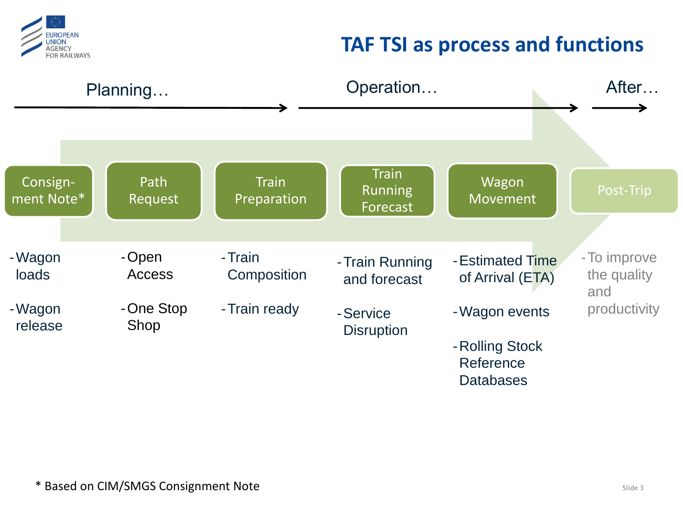

## **TAF TSI as process and functions**

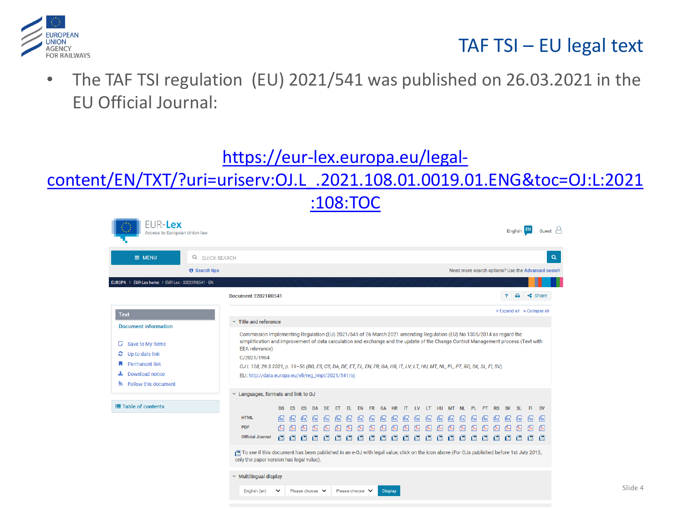

#### TAF TSI – EU legal text

• The TAF TSI regulation (EU) 2021/541 was published on 26.03.2021 in the EU Official Journal:

#### https://eur-lex.europa.eu/legal-

#### [content/EN/TXT/?uri=uriserv:OJ.L\\_.2021.108.01.0019.01.ENG&toc=OJ:L:2021](https://eur-lex.europa.eu/legal-content/EN/TXT/?uri=uriserv:OJ.L_.2021.108.01.0019.01.ENG&toc=OJ:L:2021:108:TOC) :108:TOC

| FUR-Lex<br>Access to European Union law                                                                                                                                                                                                                                                                                                                                                                                                                                                                                                                                                                                                     |                                                                                                                                                                                      |                              |           |                |                                         |           |          |            |                      |                                          |                     |           |              |          |          |                 |          |        |            |                               |           |              | English EN       |       | Guest $\sim$                                      |
|---------------------------------------------------------------------------------------------------------------------------------------------------------------------------------------------------------------------------------------------------------------------------------------------------------------------------------------------------------------------------------------------------------------------------------------------------------------------------------------------------------------------------------------------------------------------------------------------------------------------------------------------|--------------------------------------------------------------------------------------------------------------------------------------------------------------------------------------|------------------------------|-----------|----------------|-----------------------------------------|-----------|----------|------------|----------------------|------------------------------------------|---------------------|-----------|--------------|----------|----------|-----------------|----------|--------|------------|-------------------------------|-----------|--------------|------------------|-------|---------------------------------------------------|
| $\equiv$ MENU                                                                                                                                                                                                                                                                                                                                                                                                                                                                                                                                                                                                                               | Q QUICK SEARCH                                                                                                                                                                       |                              |           |                |                                         |           |          |            |                      |                                          |                     |           |              |          |          |                 |          |        |            |                               |           |              |                  |       | $\alpha$                                          |
|                                                                                                                                                                                                                                                                                                                                                                                                                                                                                                                                                                                                                                             | <b>8</b> Search tips                                                                                                                                                                 |                              |           |                |                                         |           |          |            |                      |                                          |                     |           |              |          |          |                 |          |        |            |                               |           |              |                  |       | Need more search options? Use the Advanced search |
| EUROPA > EUR-Lex home > EUR-Lex - 32021R0541 - EN                                                                                                                                                                                                                                                                                                                                                                                                                                                                                                                                                                                           |                                                                                                                                                                                      |                              |           |                |                                         |           |          |            |                      |                                          |                     |           |              |          |          |                 |          |        |            |                               |           |              |                  |       |                                                   |
|                                                                                                                                                                                                                                                                                                                                                                                                                                                                                                                                                                                                                                             | <b>Document 32021R0541</b>                                                                                                                                                           |                              |           |                |                                         |           |          |            |                      |                                          |                     |           |              |          |          |                 |          |        |            |                               |           | $\mathbf{r}$ | $\triangleright$ |       | $\triangleleft$ Share                             |
| <b>Text</b>                                                                                                                                                                                                                                                                                                                                                                                                                                                                                                                                                                                                                                 |                                                                                                                                                                                      |                              |           |                |                                         |           |          |            |                      |                                          |                     |           |              |          |          |                 |          |        |            |                               |           |              |                  |       | <b>Expand all A Collapse all</b>                  |
| <b>Document information</b>                                                                                                                                                                                                                                                                                                                                                                                                                                                                                                                                                                                                                 |                                                                                                                                                                                      | $\times$ Title and reference |           |                |                                         |           |          |            |                      |                                          |                     |           |              |          |          |                 |          |        |            |                               |           |              |                  |       |                                                   |
| Commission Implementing Regulation (EU) 2021/541 of 26 March 2021 amending Regulation (EU) No 1305/2014 as regard the<br>simplification and improvement of data calculation and exchange and the update of the Change Control Management process (Text with<br>Save to My items<br>υ<br><b>EEA</b> relevance)<br>Up-to-date link<br>c<br>C/2021/1964<br><b>Permanent link</b><br>OJ L 108, 29.3.2021, p. 19-56 (BG, ES, CS, DA, DE, ET, EL, EN, FR, GA, HR, IT, LV, LT, HU, MT, NL, PL, PT, RO, SK, SL, FI, SV)<br><b>Download notice</b><br>ELI: http://data.europa.eu/eli/reg_impl/2021/541/oj<br>$\mathbf{\hat{R}}$ Follow this document |                                                                                                                                                                                      |                              |           |                |                                         |           |          |            |                      |                                          |                     |           |              |          |          |                 |          |        |            |                               |           |              |                  |       |                                                   |
| $\times$ Languages, formats and link to OJ                                                                                                                                                                                                                                                                                                                                                                                                                                                                                                                                                                                                  |                                                                                                                                                                                      |                              |           |                |                                         |           |          |            |                      |                                          |                     |           |              |          |          |                 |          |        |            |                               |           |              |                  |       |                                                   |
| <b>E</b> Table of contents                                                                                                                                                                                                                                                                                                                                                                                                                                                                                                                                                                                                                  |                                                                                                                                                                                      | <b>BG</b>                    | <b>ES</b> | C <sub>S</sub> | <b>DA</b>                               | DE.       | ET.      | EL.        | EN                   | <b>FR</b>                                | GA                  | <b>HR</b> | $\mathsf{I}$ | 1V       | LT       | <b>HU</b>       | MT NL    |        | PL.        | PT                            | <b>RO</b> | <b>SK</b>    | SL.              | FI.   | <b>SV</b>                                         |
|                                                                                                                                                                                                                                                                                                                                                                                                                                                                                                                                                                                                                                             | <b>HTML</b><br><b>PDF</b><br><b>Official Journal</b>                                                                                                                                 | fine.<br>僵                   | Яm,<br>僵  | 氚<br>仭         | $\sqrt{m}$<br>$\mathbb{R}$ $\mathbb{R}$ | Яm,<br>一個 | fm,<br>僵 | fine.<br>僵 | 氚<br>僵               | $\sqrt{mn}$<br>$\mathbf{f}^{\mathbf{m}}$ | $\sqrt{mn}$<br>find | Ĥщ.<br>僵  | яm,<br>僵     | fm.<br>僵 | яm,<br>帽 | $\sqrt{m}$<br>僵 | fm,<br>倡 | 氚<br>僵 | fine.<br>僵 | <b>A</b> <sub>RTML</sub><br>僵 | ffm,      | fini,        | fm,              | fine. | $\sqrt{m}$                                        |
|                                                                                                                                                                                                                                                                                                                                                                                                                                                                                                                                                                                                                                             | To see if this document has been published in an e-OJ with legal value, click on the icon above (For OJs published before 1st July 2013,<br>only the paper version has legal value). |                              |           |                |                                         |           |          |            |                      |                                          |                     |           |              |          |          |                 |          |        |            |                               |           |              |                  |       |                                                   |
|                                                                                                                                                                                                                                                                                                                                                                                                                                                                                                                                                                                                                                             | $\times$ Multilingual display                                                                                                                                                        |                              |           |                |                                         |           |          |            |                      |                                          |                     |           |              |          |          |                 |          |        |            |                               |           |              |                  |       |                                                   |
|                                                                                                                                                                                                                                                                                                                                                                                                                                                                                                                                                                                                                                             | English (en)                                                                                                                                                                         | $\checkmark$                 |           |                | Please choose V                         |           |          |            | Please choose $\vee$ |                                          | <b>Display</b>      |           |              |          |          |                 |          |        |            |                               |           |              |                  |       |                                                   |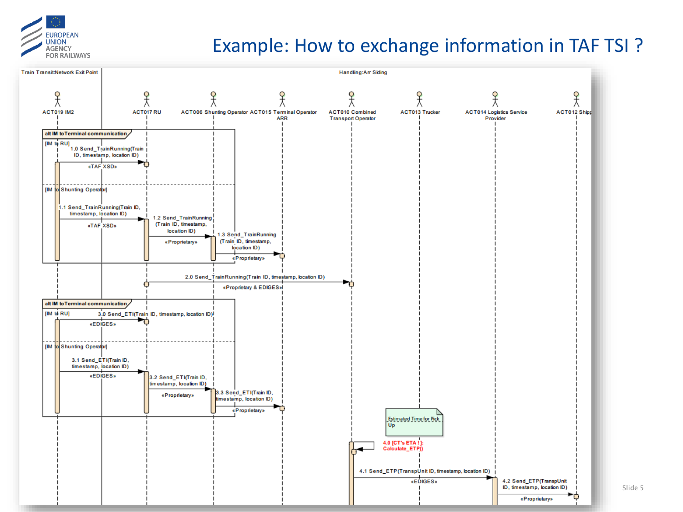

#### Example: How to exchange information in TAF TSI ?

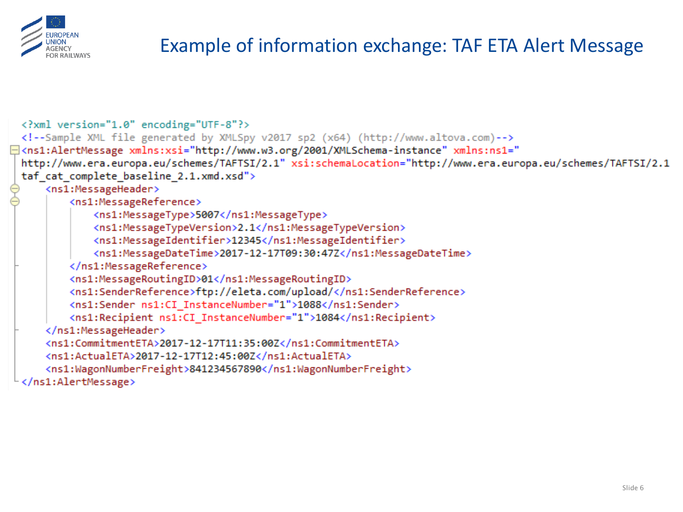

## Example of information exchange: TAF ETA Alert Message

```
<?xml version="1.0" encoding="UTF-8"?>
 <!--Sample XML file generated by XMLSpy v2017 sp2 (x64) (http://www.altova.com)-->
<sup>1</sup> <ns1:AlertMessage xmlns:xsi="http://www.w3.org/2001/XMLSchema-instance" xmlns:ns1="
 http://www.era.europa.eu/schemes/TAFTSI/2.1" xsi:schemaLocation="http://www.era.europa.eu/schemes/TAFTSI/2.1
 taf cat complete baseline 2.1.xmd.xsd">
      <ns1:MessageHeader>
          <ns1:MessageReference>
              <ns1:MessageType>5007</ns1:MessageType>
              <ns1:MessageTypeVersion>2.1</ns1:MessageTypeVersion>
              <ns1:MessageIdentifier>12345</ns1:MessageIdentifier>
              <ns1:MessageDateTime>2017-12-17T09:30:47Z</ns1:MessageDateTime>
          </ns1:MessageReference>
          <ns1:MessageRoutingID>01</ns1:MessageRoutingID>
          <ns1:SenderReference>ftp://eleta.com/upload/</ns1:SenderReference>
          <ns1:Sender ns1:CI InstanceNumber="1">1088</ns1:Sender>
          <ns1:Recipient ns1:CI InstanceNumber="1">1084</ns1:Recipient>
      </ns1:MessageHeader>
      <ns1:CommitmentETA>2017-12-17T11:35:00Z</ns1:CommitmentETA>
      <ns1:ActualETA>2017-12-17T12:45:00Z</ns1:ActualETA>
      <ns1:WagonNumberFreight>841234567890</ns1:WagonNumberFreight>
  </ns1:AlertMessage>
```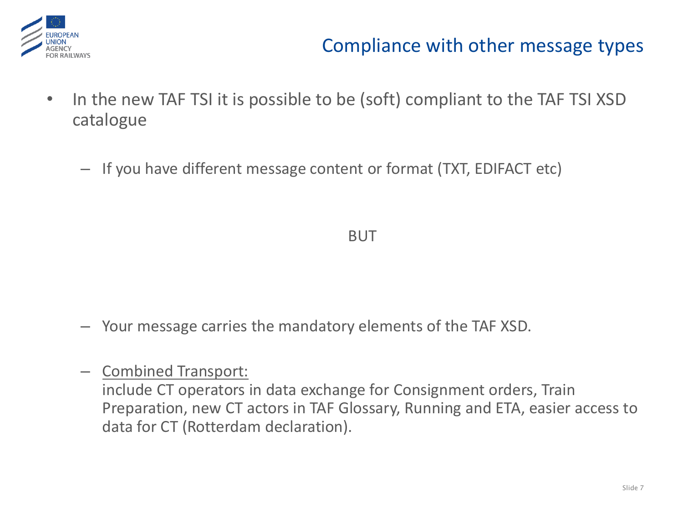

### Compliance with other message types

- In the new TAF TSI it is possible to be (soft) compliant to the TAF TSI XSD catalogue
	- If you have different message content or format (TXT, EDIFACT etc)

BUT

- Your message carries the mandatory elements of the TAF XSD.
- Combined Transport:

include CT operators in data exchange for Consignment orders, Train Preparation, new CT actors in TAF Glossary, Running and ETA, easier access to data for CT (Rotterdam declaration).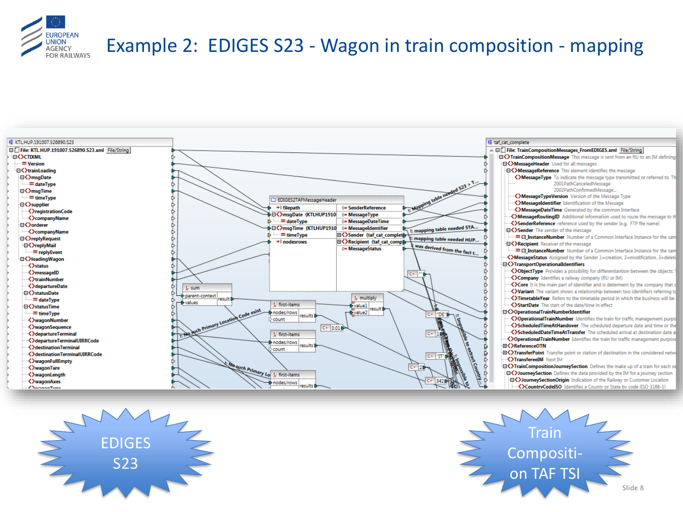

#### Example 2: EDIGES S23 - Wagon in train composition - mapping





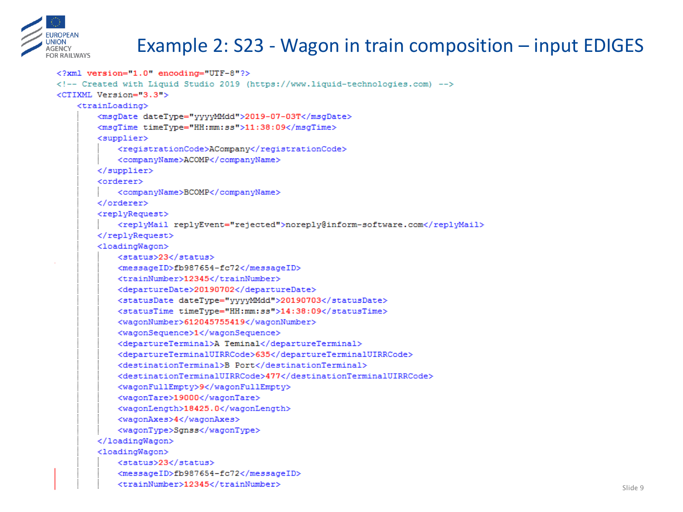

### Example 2: S23 - Wagon in train composition – input EDIGES

```
<?xml version="1.0" encoding="UTF-8"?>
<!-- Created with Liquid Studio 2019 (https://www.liquid-technologies.com) -->
<CTIXML Version="3.3">
    <trainLoading>
        <msgDate dateType="yyyyMMdd">2019-07-03T</msgDate>
        <msqTime timeTvpe="HH:mm:ss">11:38:09</msqTime>
        <supplier>
            <registrationCode>ACompany</registrationCode>
            <companvName>ACOMP</companvName>
        </supplier>
        <orderer>
            <companyName>BCOMP</companyName>
        </orderer>
        <replvRequest>
            <replyMail replyEvent="rejected">noreply@inform-software.com</replyMail>
        </replyRequest>
        <loadingWagon>
            <status>23</status>
            <messageID>fb987654-fc72</messageID>
            <trainNumber>12345</trainNumber>
            <departureDate>20190702</departureDate>
            <statusDate dateType="vvvvMMdd">20190703</statusDate>
            <statusTime timeType="HH:mm:ss">14:38:09</statusTime>
            <wagonNumber>612045755419</wagonNumber>
            <wagonSequence>1</wagonSequence>
            <departureTerminal>A Teminal</departureTerminal>
            <departureTerminalUIRRCode>635</departureTerminalUIRRCode>
            <destinationTerminal>B Port</destinationTerminal>
            <destinationTerminalUIRRCode>477</destinationTerminalUIRRCode>
            <wagonFullEmpty>9</wagonFullEmpty>
            <wagonTare>19000</wagonTare>
            <wagonLength>18425.0</wagonLength>
            <wagonAxes>4</wagonAxes>
            <wagonType>Sgnss</wagonType>
        </loadingWagon>
        <loadingWagon>
            <status>23</status>
            <messageID>fb987654-fc72</messageID>
            <trainNumber>12345</trainNumber>
```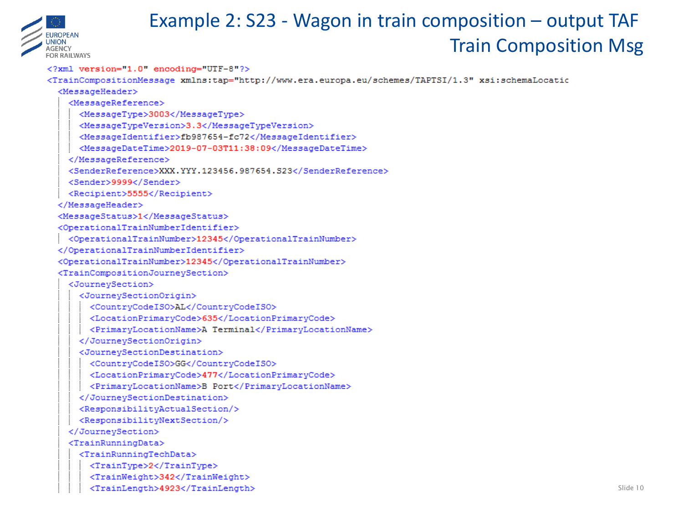

## Example 2: S23 - Wagon in train composition - output TAF **Train Composition Msg**

<?xml version="1.0" encoding="UTF-8"?> <TrainCompositionMessage xmlns:tap="http://www.era.europa.eu/schemes/TAPTSI/1.3" xsi:schemaLocatio <MessageHeader> <MessageReference> <MessageType>3003</MessageType> <MessageTypeVersion>3.3</MessageTypeVersion> <MessageIdentifier>fb987654-fc72</MessageIdentifier> <MessageDateTime>2019-07-03T11:38:09</MessageDateTime> </MessageReference> <SenderReference>XXX.YYY.123456.987654.S23</SenderReference> <Sender>9999</Sender> <Recipient>5555</Recipient> </MessageHeader> <MessageStatus>1</MessageStatus> <OperationalTrainNumberIdentifier> <OperationalTrainNumber>12345</OperationalTrainNumber> </OperationalTrainNumberIdentifier> <OperationalTrainNumber>12345</OperationalTrainNumber> <TrainCompositionJourneySection> <JourneySection> <JourneySectionOrigin> <CountryCodeISO>AL</CountryCodeISO> <LocationPrimaryCode>635</LocationPrimaryCode> <PrimaryLocationName>A Terminal</PrimaryLocationName> </JourneySectionOrigin> <JournevSectionDestination> <CountryCodeISO>GG</CountryCodeISO> <LocationPrimaryCode>477</LocationPrimaryCode> <PrimarvLocationName>B Port</PrimarvLocationName> </JourneySectionDestination> <ResponsibilityActualSection/> <ResponsibilityNextSection/> </JourneySection> <TrainRunningData> <TrainRunningTechData> <TrainType>2</TrainType> <TrainWeight>342</TrainWeight> <TrainLength>4923</TrainLength>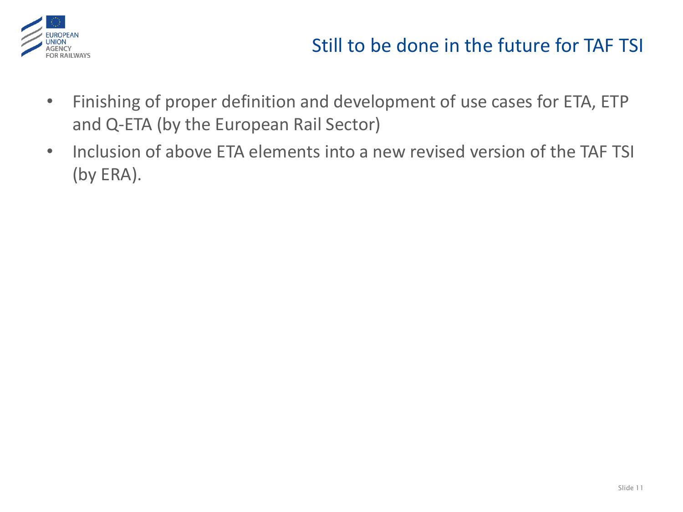

### Still to be done in the future for TAF TSI

- Finishing of proper definition and development of use cases for ETA, ETP and Q-ETA (by the European Rail Sector)
- Inclusion of above ETA elements into a new revised version of the TAF TSI (by ERA).